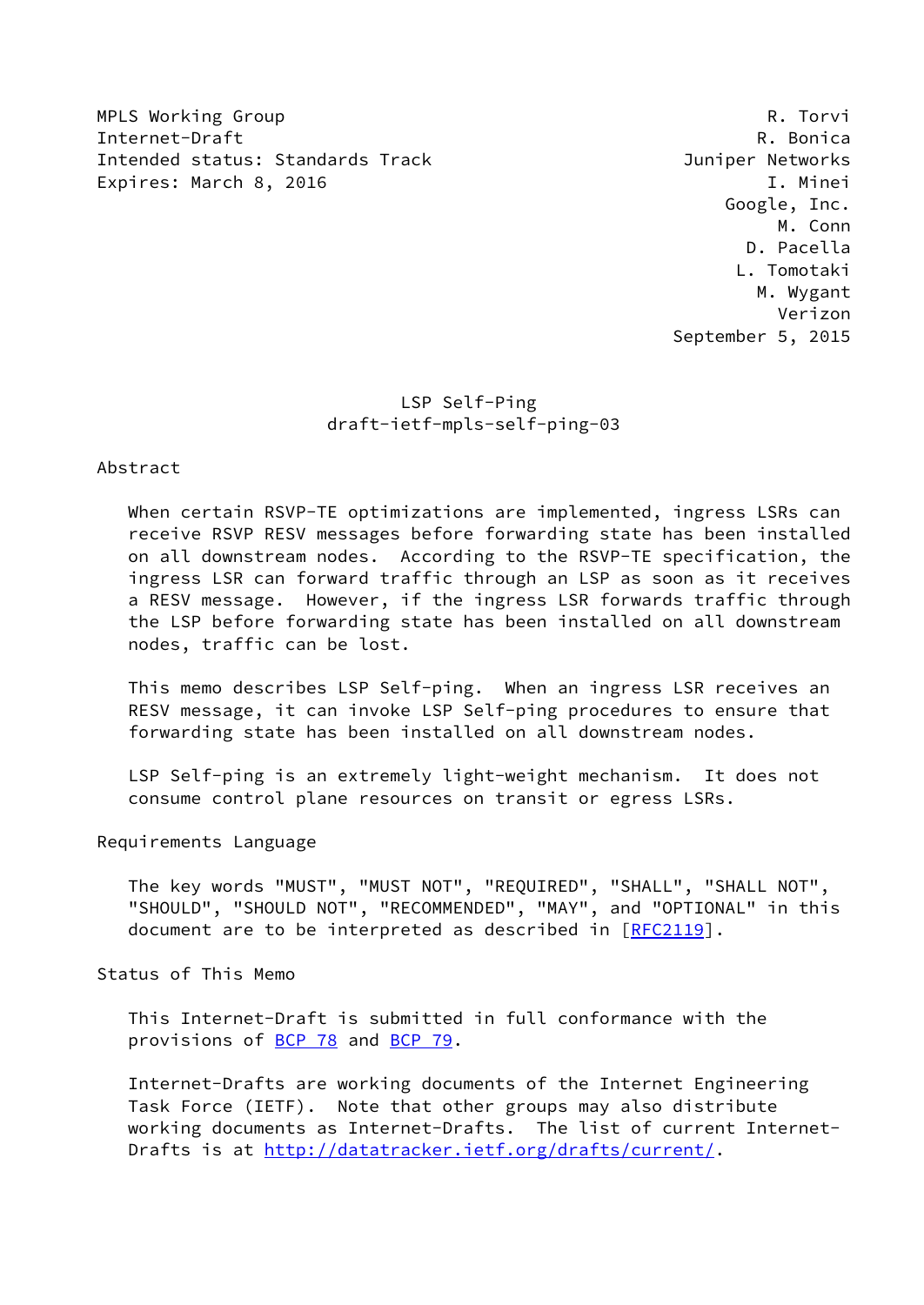MPLS Working Group **Research Control** Control of the Metal Control Control Control Control Control Control Control Control Control Control Control Control Control Control Control Control Control Control Control Control Con Internet-Draft R. Bonica Intended status: Standards Track Juniper Networks Expires: March 8, 2016 **I. Minei** 

 Google, Inc. M. Conn D. Pacella L. Tomotaki M. Wygant Verizon September 5, 2015

# LSP Self-Ping draft-ietf-mpls-self-ping-03

### Abstract

When certain RSVP-TE optimizations are implemented, ingress LSRs can receive RSVP RESV messages before forwarding state has been installed on all downstream nodes. According to the RSVP-TE specification, the ingress LSR can forward traffic through an LSP as soon as it receives a RESV message. However, if the ingress LSR forwards traffic through the LSP before forwarding state has been installed on all downstream nodes, traffic can be lost.

 This memo describes LSP Self-ping. When an ingress LSR receives an RESV message, it can invoke LSP Self-ping procedures to ensure that forwarding state has been installed on all downstream nodes.

 LSP Self-ping is an extremely light-weight mechanism. It does not consume control plane resources on transit or egress LSRs.

Requirements Language

 The key words "MUST", "MUST NOT", "REQUIRED", "SHALL", "SHALL NOT", "SHOULD", "SHOULD NOT", "RECOMMENDED", "MAY", and "OPTIONAL" in this document are to be interpreted as described in [\[RFC2119](https://datatracker.ietf.org/doc/pdf/rfc2119)].

Status of This Memo

 This Internet-Draft is submitted in full conformance with the provisions of [BCP 78](https://datatracker.ietf.org/doc/pdf/bcp78) and [BCP 79](https://datatracker.ietf.org/doc/pdf/bcp79).

 Internet-Drafts are working documents of the Internet Engineering Task Force (IETF). Note that other groups may also distribute working documents as Internet-Drafts. The list of current Internet- Drafts is at<http://datatracker.ietf.org/drafts/current/>.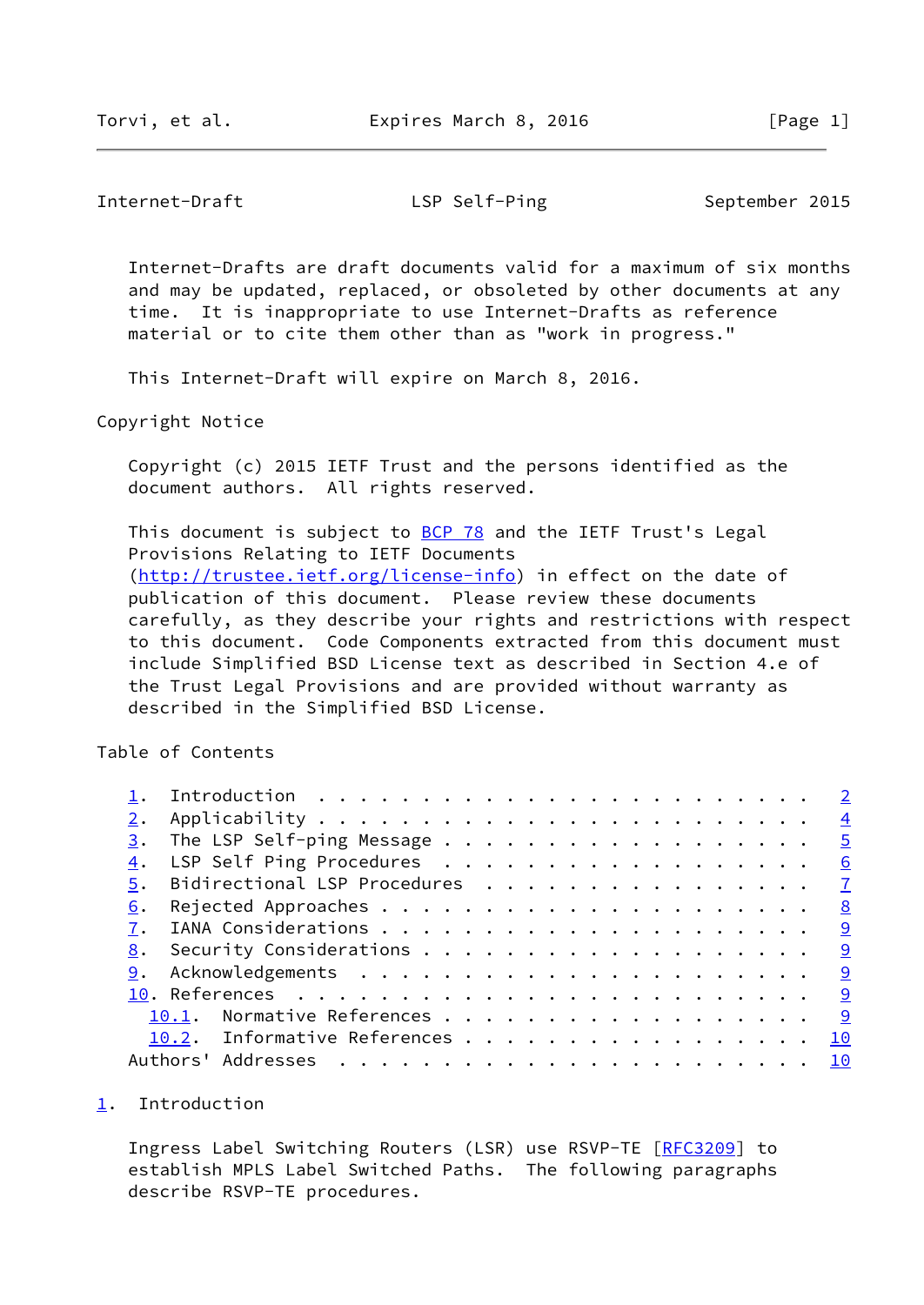<span id="page-1-1"></span>Internet-Draft LSP Self-Ping September 2015

 Internet-Drafts are draft documents valid for a maximum of six months and may be updated, replaced, or obsoleted by other documents at any time. It is inappropriate to use Internet-Drafts as reference material or to cite them other than as "work in progress."

This Internet-Draft will expire on March 8, 2016.

Copyright Notice

 Copyright (c) 2015 IETF Trust and the persons identified as the document authors. All rights reserved.

This document is subject to [BCP 78](https://datatracker.ietf.org/doc/pdf/bcp78) and the IETF Trust's Legal Provisions Relating to IETF Documents [\(http://trustee.ietf.org/license-info](http://trustee.ietf.org/license-info)) in effect on the date of publication of this document. Please review these documents carefully, as they describe your rights and restrictions with respect to this document. Code Components extracted from this document must include Simplified BSD License text as described in Section 4.e of the Trust Legal Provisions and are provided without warranty as described in the Simplified BSD License.

Table of Contents

| 3. | The LSP Self-ping Message 5       |  |  |  |  |  |  |  |  |           |
|----|-----------------------------------|--|--|--|--|--|--|--|--|-----------|
|    | 4. LSP Self Ping Procedures 6     |  |  |  |  |  |  |  |  |           |
|    | 5. Bidirectional LSP Procedures 7 |  |  |  |  |  |  |  |  |           |
| 6. |                                   |  |  |  |  |  |  |  |  | <u>8</u>  |
| 7. |                                   |  |  |  |  |  |  |  |  | <u>୍ର</u> |
| 8. |                                   |  |  |  |  |  |  |  |  |           |
|    |                                   |  |  |  |  |  |  |  |  |           |
|    |                                   |  |  |  |  |  |  |  |  |           |
|    | 10.1. Normative References 9      |  |  |  |  |  |  |  |  |           |
|    | 10.2. Informative References      |  |  |  |  |  |  |  |  | 10        |
|    |                                   |  |  |  |  |  |  |  |  |           |

### <span id="page-1-0"></span>[1](#page-1-0). Introduction

 Ingress Label Switching Routers (LSR) use RSVP-TE [[RFC3209](https://datatracker.ietf.org/doc/pdf/rfc3209)] to establish MPLS Label Switched Paths. The following paragraphs describe RSVP-TE procedures.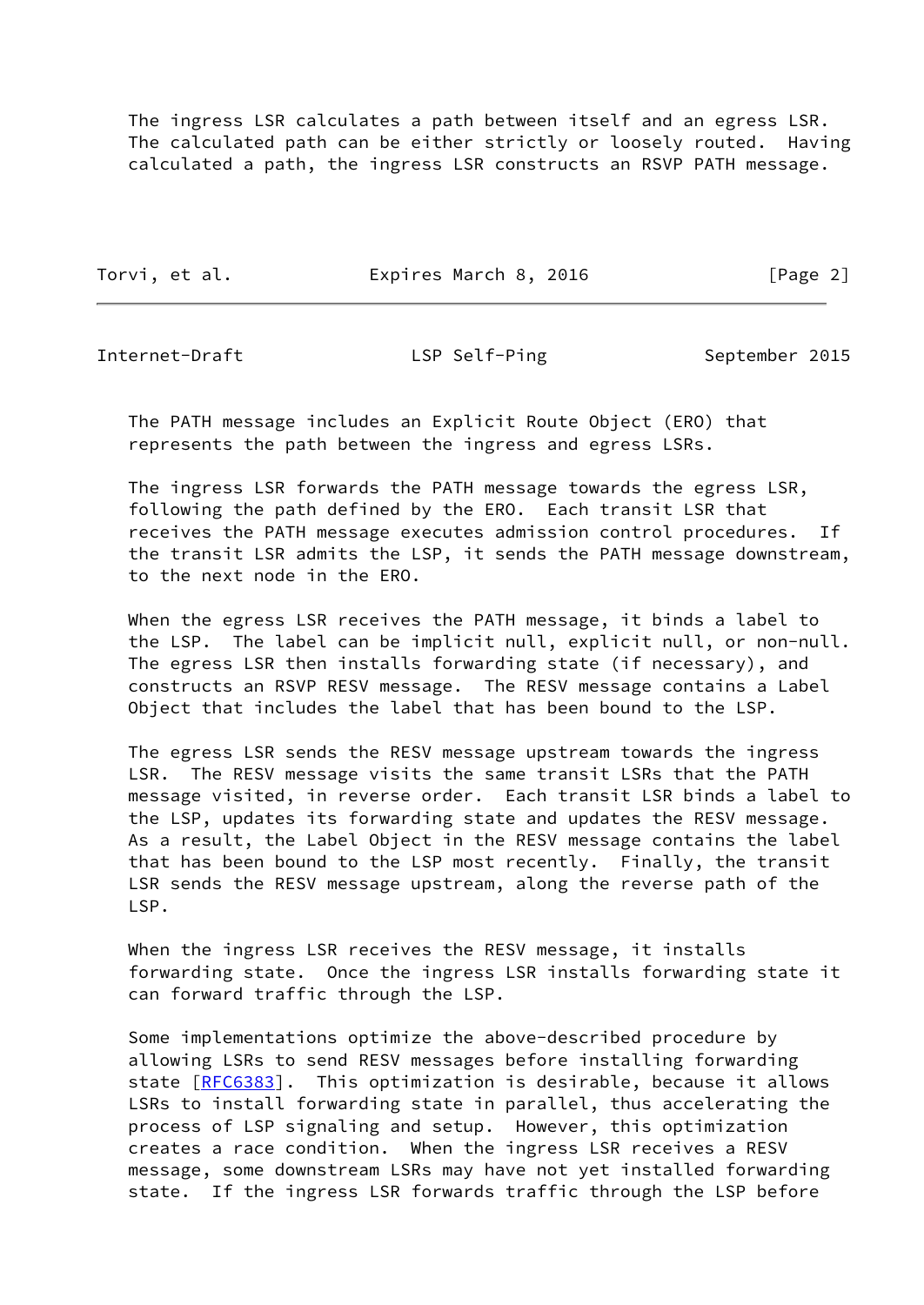The ingress LSR calculates a path between itself and an egress LSR. The calculated path can be either strictly or loosely routed. Having calculated a path, the ingress LSR constructs an RSVP PATH message.

Torvi, et al. **Expires March 8, 2016** [Page 2]

Internet-Draft LSP Self-Ping September 2015

 The PATH message includes an Explicit Route Object (ERO) that represents the path between the ingress and egress LSRs.

 The ingress LSR forwards the PATH message towards the egress LSR, following the path defined by the ERO. Each transit LSR that receives the PATH message executes admission control procedures. If the transit LSR admits the LSP, it sends the PATH message downstream, to the next node in the ERO.

 When the egress LSR receives the PATH message, it binds a label to the LSP. The label can be implicit null, explicit null, or non-null. The egress LSR then installs forwarding state (if necessary), and constructs an RSVP RESV message. The RESV message contains a Label Object that includes the label that has been bound to the LSP.

 The egress LSR sends the RESV message upstream towards the ingress LSR. The RESV message visits the same transit LSRs that the PATH message visited, in reverse order. Each transit LSR binds a label to the LSP, updates its forwarding state and updates the RESV message. As a result, the Label Object in the RESV message contains the label that has been bound to the LSP most recently. Finally, the transit LSR sends the RESV message upstream, along the reverse path of the LSP.

 When the ingress LSR receives the RESV message, it installs forwarding state. Once the ingress LSR installs forwarding state it can forward traffic through the LSP.

 Some implementations optimize the above-described procedure by allowing LSRs to send RESV messages before installing forwarding state [[RFC6383](https://datatracker.ietf.org/doc/pdf/rfc6383)]. This optimization is desirable, because it allows LSRs to install forwarding state in parallel, thus accelerating the process of LSP signaling and setup. However, this optimization creates a race condition. When the ingress LSR receives a RESV message, some downstream LSRs may have not yet installed forwarding state. If the ingress LSR forwards traffic through the LSP before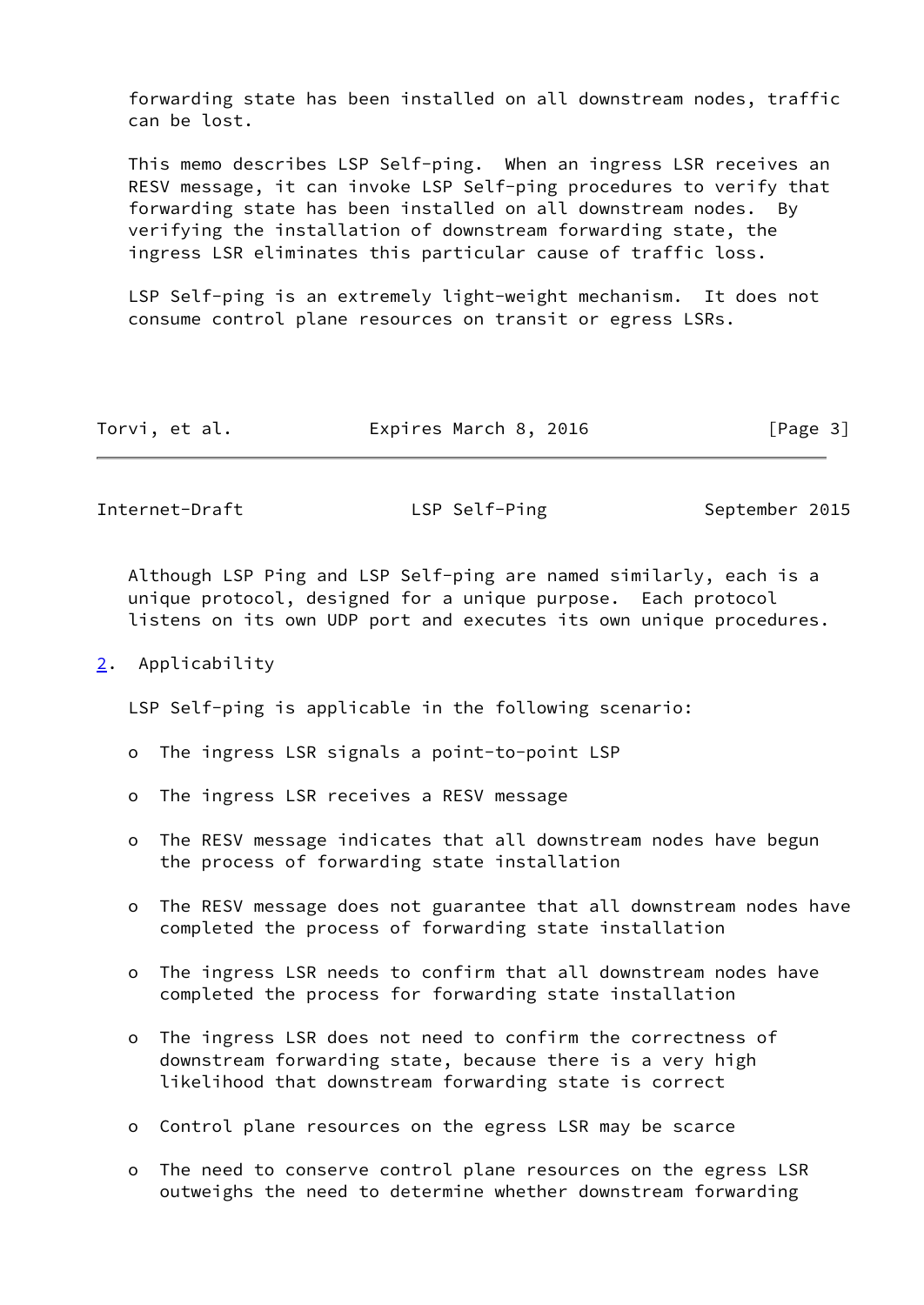forwarding state has been installed on all downstream nodes, traffic can be lost.

 This memo describes LSP Self-ping. When an ingress LSR receives an RESV message, it can invoke LSP Self-ping procedures to verify that forwarding state has been installed on all downstream nodes. By verifying the installation of downstream forwarding state, the ingress LSR eliminates this particular cause of traffic loss.

 LSP Self-ping is an extremely light-weight mechanism. It does not consume control plane resources on transit or egress LSRs.

| Expires March 8, 2016<br>Torvi, et al. | [Page 3] |
|----------------------------------------|----------|
|----------------------------------------|----------|

<span id="page-3-1"></span>Internet-Draft LSP Self-Ping September 2015

 Although LSP Ping and LSP Self-ping are named similarly, each is a unique protocol, designed for a unique purpose. Each protocol listens on its own UDP port and executes its own unique procedures.

<span id="page-3-0"></span>[2](#page-3-0). Applicability

LSP Self-ping is applicable in the following scenario:

- o The ingress LSR signals a point-to-point LSP
- o The ingress LSR receives a RESV message
- o The RESV message indicates that all downstream nodes have begun the process of forwarding state installation
- o The RESV message does not guarantee that all downstream nodes have completed the process of forwarding state installation
- o The ingress LSR needs to confirm that all downstream nodes have completed the process for forwarding state installation
- o The ingress LSR does not need to confirm the correctness of downstream forwarding state, because there is a very high likelihood that downstream forwarding state is correct
- o Control plane resources on the egress LSR may be scarce
- o The need to conserve control plane resources on the egress LSR outweighs the need to determine whether downstream forwarding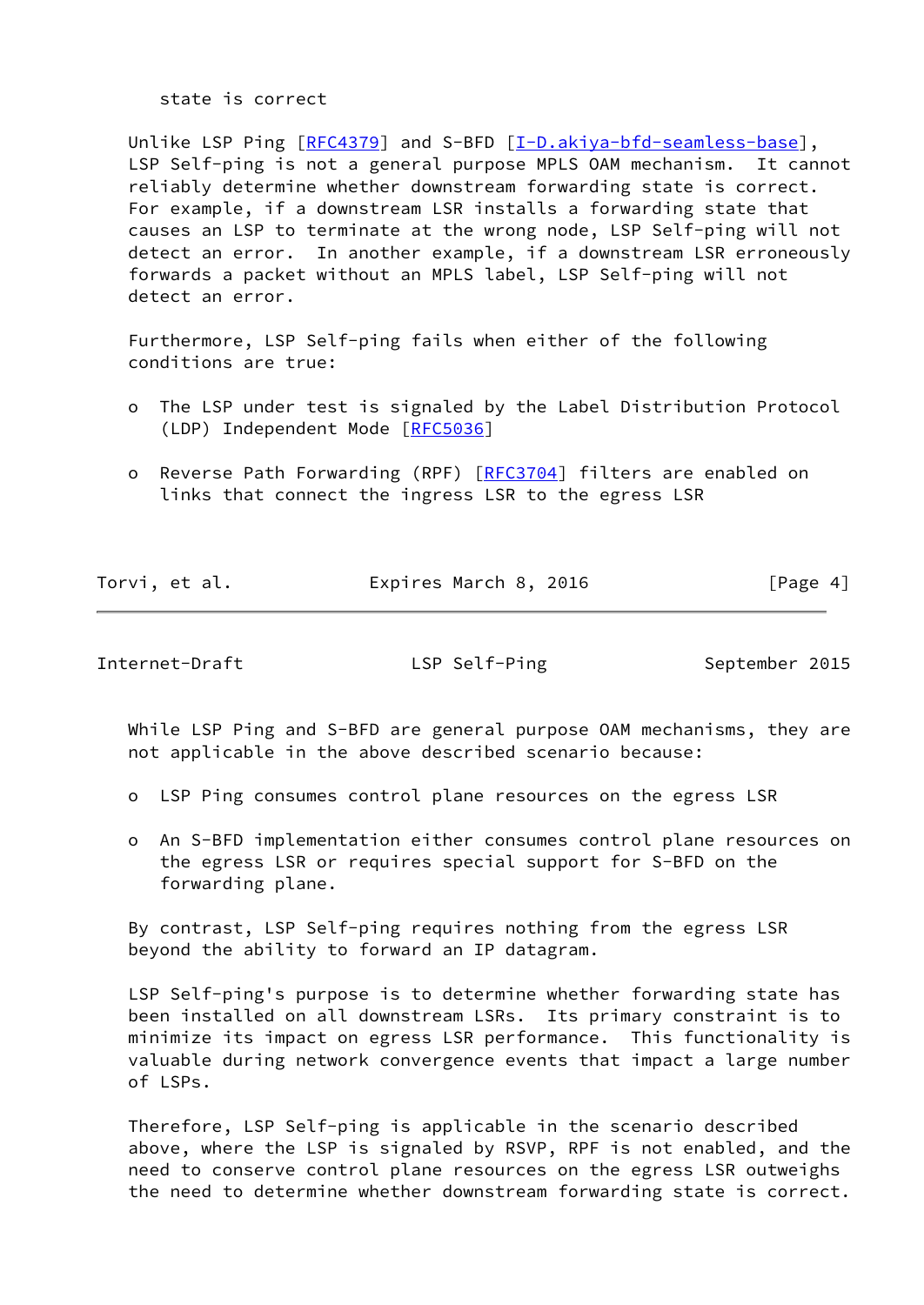state is correct

 Unlike LSP Ping [\[RFC4379](https://datatracker.ietf.org/doc/pdf/rfc4379)] and S-BFD [\[I-D.akiya-bfd-seamless-base](#page-10-2)], LSP Self-ping is not a general purpose MPLS OAM mechanism. It cannot reliably determine whether downstream forwarding state is correct. For example, if a downstream LSR installs a forwarding state that causes an LSP to terminate at the wrong node, LSP Self-ping will not detect an error. In another example, if a downstream LSR erroneously forwards a packet without an MPLS label, LSP Self-ping will not detect an error.

 Furthermore, LSP Self-ping fails when either of the following conditions are true:

- o The LSP under test is signaled by the Label Distribution Protocol (LDP) Independent Mode [[RFC5036](https://datatracker.ietf.org/doc/pdf/rfc5036)]
- o Reverse Path Forwarding (RPF) [\[RFC3704](https://datatracker.ietf.org/doc/pdf/rfc3704)] filters are enabled on links that connect the ingress LSR to the egress LSR

| Torvi, et al. | Expires March 8, 2016 | [Page 4] |
|---------------|-----------------------|----------|

<span id="page-4-0"></span>Internet-Draft LSP Self-Ping September 2015

 While LSP Ping and S-BFD are general purpose OAM mechanisms, they are not applicable in the above described scenario because:

- o LSP Ping consumes control plane resources on the egress LSR
- o An S-BFD implementation either consumes control plane resources on the egress LSR or requires special support for S-BFD on the forwarding plane.

 By contrast, LSP Self-ping requires nothing from the egress LSR beyond the ability to forward an IP datagram.

 LSP Self-ping's purpose is to determine whether forwarding state has been installed on all downstream LSRs. Its primary constraint is to minimize its impact on egress LSR performance. This functionality is valuable during network convergence events that impact a large number of LSPs.

 Therefore, LSP Self-ping is applicable in the scenario described above, where the LSP is signaled by RSVP, RPF is not enabled, and the need to conserve control plane resources on the egress LSR outweighs the need to determine whether downstream forwarding state is correct.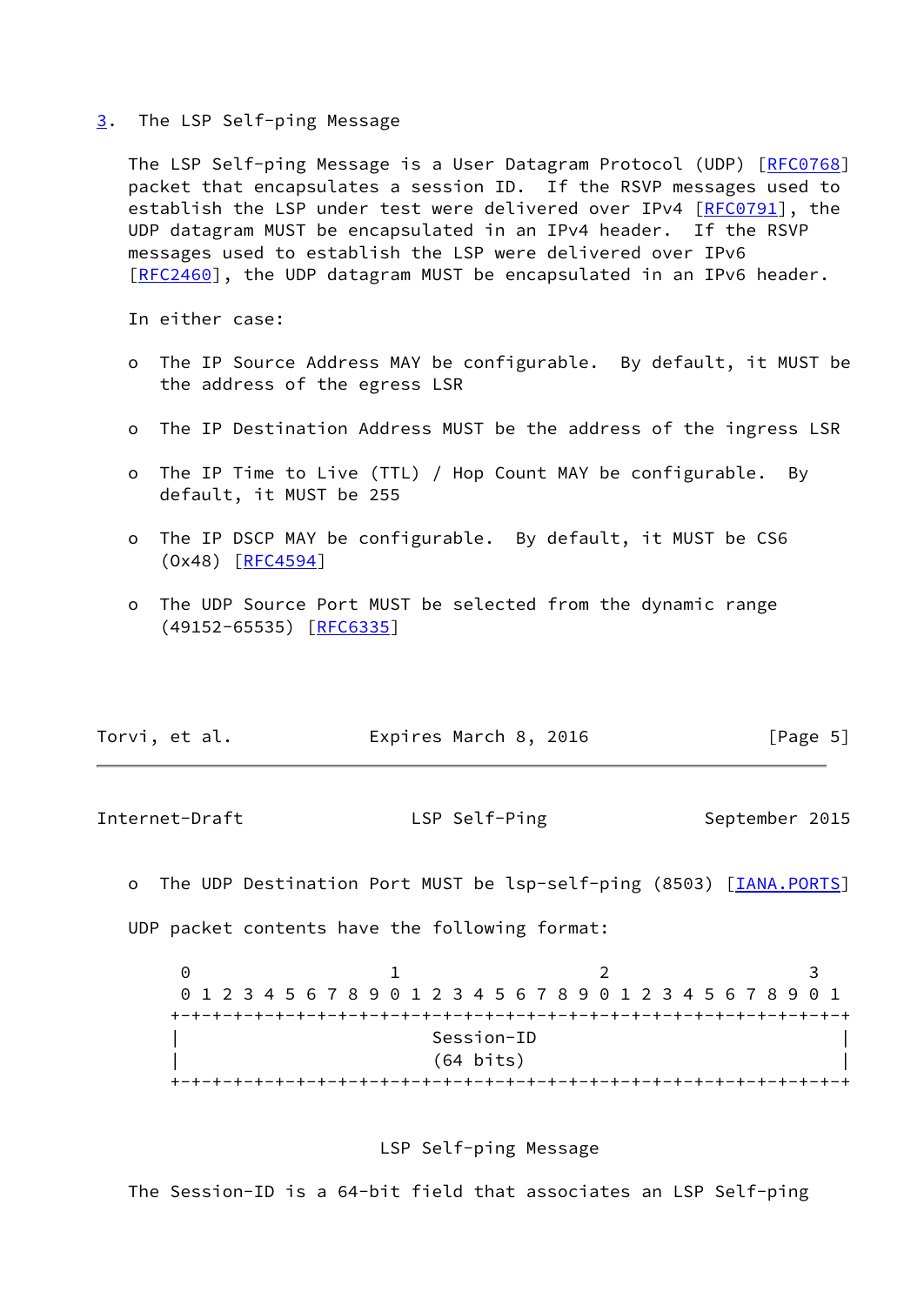#### <span id="page-5-0"></span>[3](#page-5-0). The LSP Self-ping Message

The LSP Self-ping Message is a User Datagram Protocol (UDP) [\[RFC0768](https://datatracker.ietf.org/doc/pdf/rfc0768)] packet that encapsulates a session ID. If the RSVP messages used to establish the LSP under test were delivered over IPv4 [[RFC0791](https://datatracker.ietf.org/doc/pdf/rfc0791)], the UDP datagram MUST be encapsulated in an IPv4 header. If the RSVP messages used to establish the LSP were delivered over IPv6 [\[RFC2460](https://datatracker.ietf.org/doc/pdf/rfc2460)], the UDP datagram MUST be encapsulated in an IPv6 header.

In either case:

- o The IP Source Address MAY be configurable. By default, it MUST be the address of the egress LSR
- o The IP Destination Address MUST be the address of the ingress LSR
- o The IP Time to Live (TTL) / Hop Count MAY be configurable. By default, it MUST be 255
- o The IP DSCP MAY be configurable. By default, it MUST be CS6 (Ox48) [[RFC4594](https://datatracker.ietf.org/doc/pdf/rfc4594)]
- o The UDP Source Port MUST be selected from the dynamic range (49152-65535) [\[RFC6335](https://datatracker.ietf.org/doc/pdf/rfc6335)]

| Torvi, et al. | Expires March 8, 2016 |  | [Page 5] |
|---------------|-----------------------|--|----------|
|---------------|-----------------------|--|----------|

<span id="page-5-1"></span>Internet-Draft LSP Self-Ping September 2015

o The UDP Destination Port MUST be lsp-self-ping (8503) [*IANA.PORTS*] UDP packet contents have the following format:

| 0 1 2 3 4 5 6 7 8 9 0 1 2 3 4 5 6 7 8 9 0 1 2 3 4 5 6 7 8 9 0 1 |  |  |  |  |  |  |                     |  |  |  |  |  |  |  |  |
|-----------------------------------------------------------------|--|--|--|--|--|--|---------------------|--|--|--|--|--|--|--|--|
|                                                                 |  |  |  |  |  |  |                     |  |  |  |  |  |  |  |  |
|                                                                 |  |  |  |  |  |  | Session-ID          |  |  |  |  |  |  |  |  |
|                                                                 |  |  |  |  |  |  | $(64 \text{ bits})$ |  |  |  |  |  |  |  |  |
|                                                                 |  |  |  |  |  |  |                     |  |  |  |  |  |  |  |  |

## LSP Self-ping Message

The Session-ID is a 64-bit field that associates an LSP Self-ping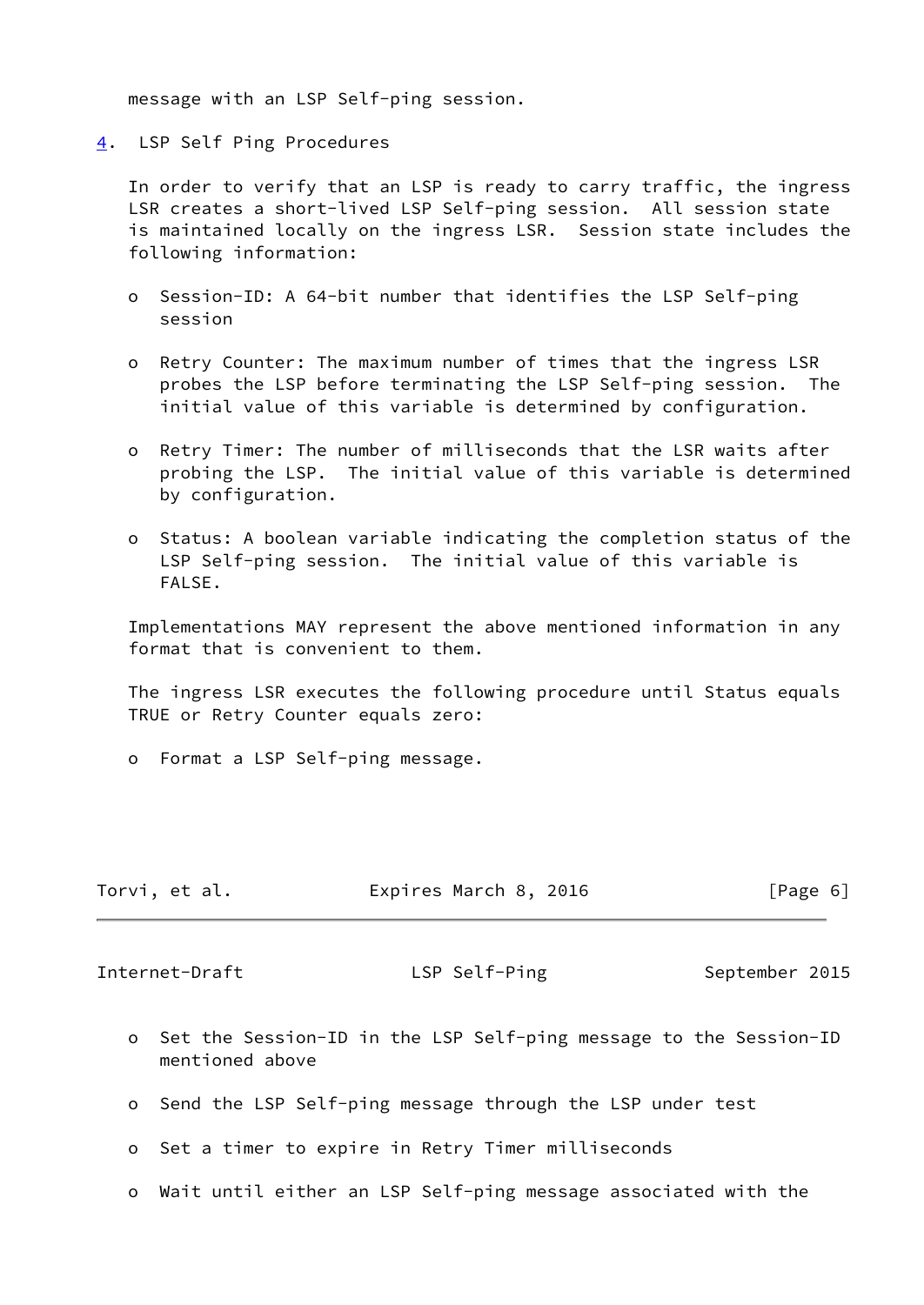message with an LSP Self-ping session.

<span id="page-6-0"></span>[4](#page-6-0). LSP Self Ping Procedures

 In order to verify that an LSP is ready to carry traffic, the ingress LSR creates a short-lived LSP Self-ping session. All session state is maintained locally on the ingress LSR. Session state includes the following information:

- o Session-ID: A 64-bit number that identifies the LSP Self-ping session
- o Retry Counter: The maximum number of times that the ingress LSR probes the LSP before terminating the LSP Self-ping session. The initial value of this variable is determined by configuration.
- o Retry Timer: The number of milliseconds that the LSR waits after probing the LSP. The initial value of this variable is determined by configuration.
- o Status: A boolean variable indicating the completion status of the LSP Self-ping session. The initial value of this variable is FALSE.

 Implementations MAY represent the above mentioned information in any format that is convenient to them.

 The ingress LSR executes the following procedure until Status equals TRUE or Retry Counter equals zero:

o Format a LSP Self-ping message.

| Torvi, et al. | Expires March 8, 2016 | [Page 6] |
|---------------|-----------------------|----------|
|---------------|-----------------------|----------|

<span id="page-6-1"></span>Internet-Draft LSP Self-Ping September 2015

- o Set the Session-ID in the LSP Self-ping message to the Session-ID mentioned above
- o Send the LSP Self-ping message through the LSP under test
- o Set a timer to expire in Retry Timer milliseconds
- o Wait until either an LSP Self-ping message associated with the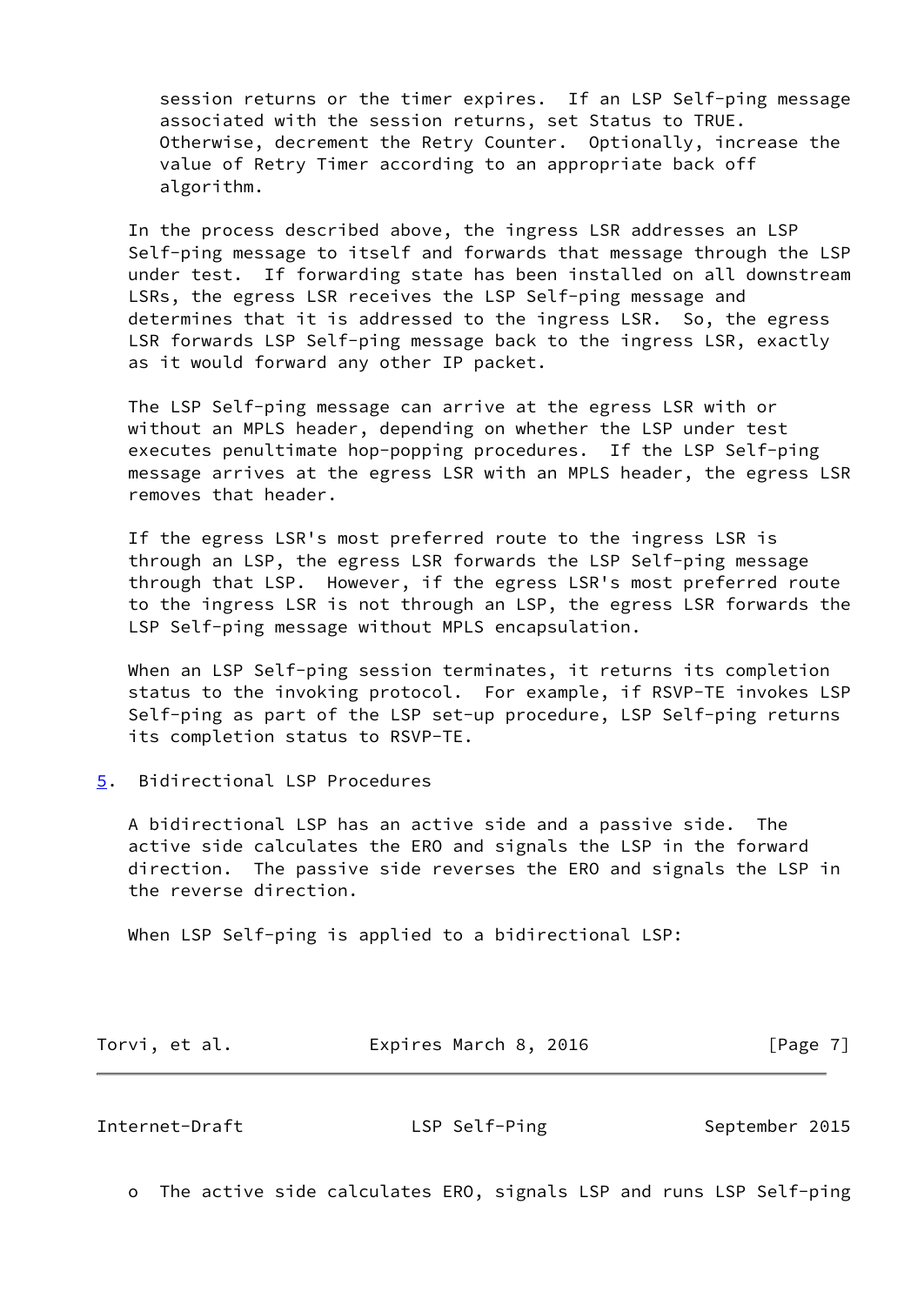session returns or the timer expires. If an LSP Self-ping message associated with the session returns, set Status to TRUE. Otherwise, decrement the Retry Counter. Optionally, increase the value of Retry Timer according to an appropriate back off algorithm.

 In the process described above, the ingress LSR addresses an LSP Self-ping message to itself and forwards that message through the LSP under test. If forwarding state has been installed on all downstream LSRs, the egress LSR receives the LSP Self-ping message and determines that it is addressed to the ingress LSR. So, the egress LSR forwards LSP Self-ping message back to the ingress LSR, exactly as it would forward any other IP packet.

 The LSP Self-ping message can arrive at the egress LSR with or without an MPLS header, depending on whether the LSP under test executes penultimate hop-popping procedures. If the LSP Self-ping message arrives at the egress LSR with an MPLS header, the egress LSR removes that header.

 If the egress LSR's most preferred route to the ingress LSR is through an LSP, the egress LSR forwards the LSP Self-ping message through that LSP. However, if the egress LSR's most preferred route to the ingress LSR is not through an LSP, the egress LSR forwards the LSP Self-ping message without MPLS encapsulation.

 When an LSP Self-ping session terminates, it returns its completion status to the invoking protocol. For example, if RSVP-TE invokes LSP Self-ping as part of the LSP set-up procedure, LSP Self-ping returns its completion status to RSVP-TE.

<span id="page-7-0"></span>[5](#page-7-0). Bidirectional LSP Procedures

 A bidirectional LSP has an active side and a passive side. The active side calculates the ERO and signals the LSP in the forward direction. The passive side reverses the ERO and signals the LSP in the reverse direction.

When LSP Self-ping is applied to a bidirectional LSP:

| Torvi, et al. | Expires March 8, 2016 | [Page 7] |
|---------------|-----------------------|----------|
|---------------|-----------------------|----------|

<span id="page-7-1"></span>Internet-Draft LSP Self-Ping September 2015

o The active side calculates ERO, signals LSP and runs LSP Self-ping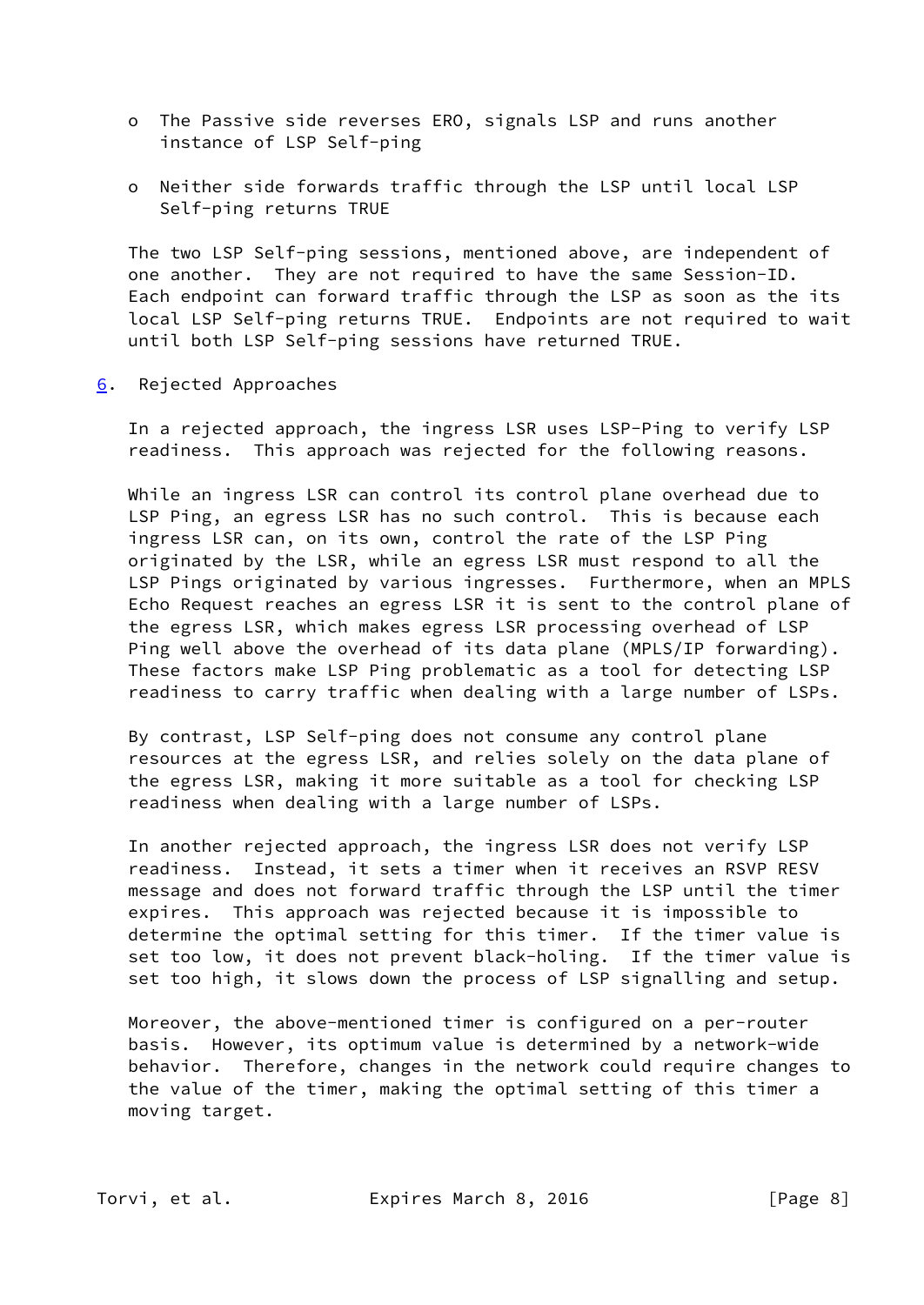- o The Passive side reverses ERO, signals LSP and runs another instance of LSP Self-ping
- o Neither side forwards traffic through the LSP until local LSP Self-ping returns TRUE

 The two LSP Self-ping sessions, mentioned above, are independent of one another. They are not required to have the same Session-ID. Each endpoint can forward traffic through the LSP as soon as the its local LSP Self-ping returns TRUE. Endpoints are not required to wait until both LSP Self-ping sessions have returned TRUE.

<span id="page-8-0"></span>[6](#page-8-0). Rejected Approaches

 In a rejected approach, the ingress LSR uses LSP-Ping to verify LSP readiness. This approach was rejected for the following reasons.

 While an ingress LSR can control its control plane overhead due to LSP Ping, an egress LSR has no such control. This is because each ingress LSR can, on its own, control the rate of the LSP Ping originated by the LSR, while an egress LSR must respond to all the LSP Pings originated by various ingresses. Furthermore, when an MPLS Echo Request reaches an egress LSR it is sent to the control plane of the egress LSR, which makes egress LSR processing overhead of LSP Ping well above the overhead of its data plane (MPLS/IP forwarding). These factors make LSP Ping problematic as a tool for detecting LSP readiness to carry traffic when dealing with a large number of LSPs.

 By contrast, LSP Self-ping does not consume any control plane resources at the egress LSR, and relies solely on the data plane of the egress LSR, making it more suitable as a tool for checking LSP readiness when dealing with a large number of LSPs.

 In another rejected approach, the ingress LSR does not verify LSP readiness. Instead, it sets a timer when it receives an RSVP RESV message and does not forward traffic through the LSP until the timer expires. This approach was rejected because it is impossible to determine the optimal setting for this timer. If the timer value is set too low, it does not prevent black-holing. If the timer value is set too high, it slows down the process of LSP signalling and setup.

 Moreover, the above-mentioned timer is configured on a per-router basis. However, its optimum value is determined by a network-wide behavior. Therefore, changes in the network could require changes to the value of the timer, making the optimal setting of this timer a moving target.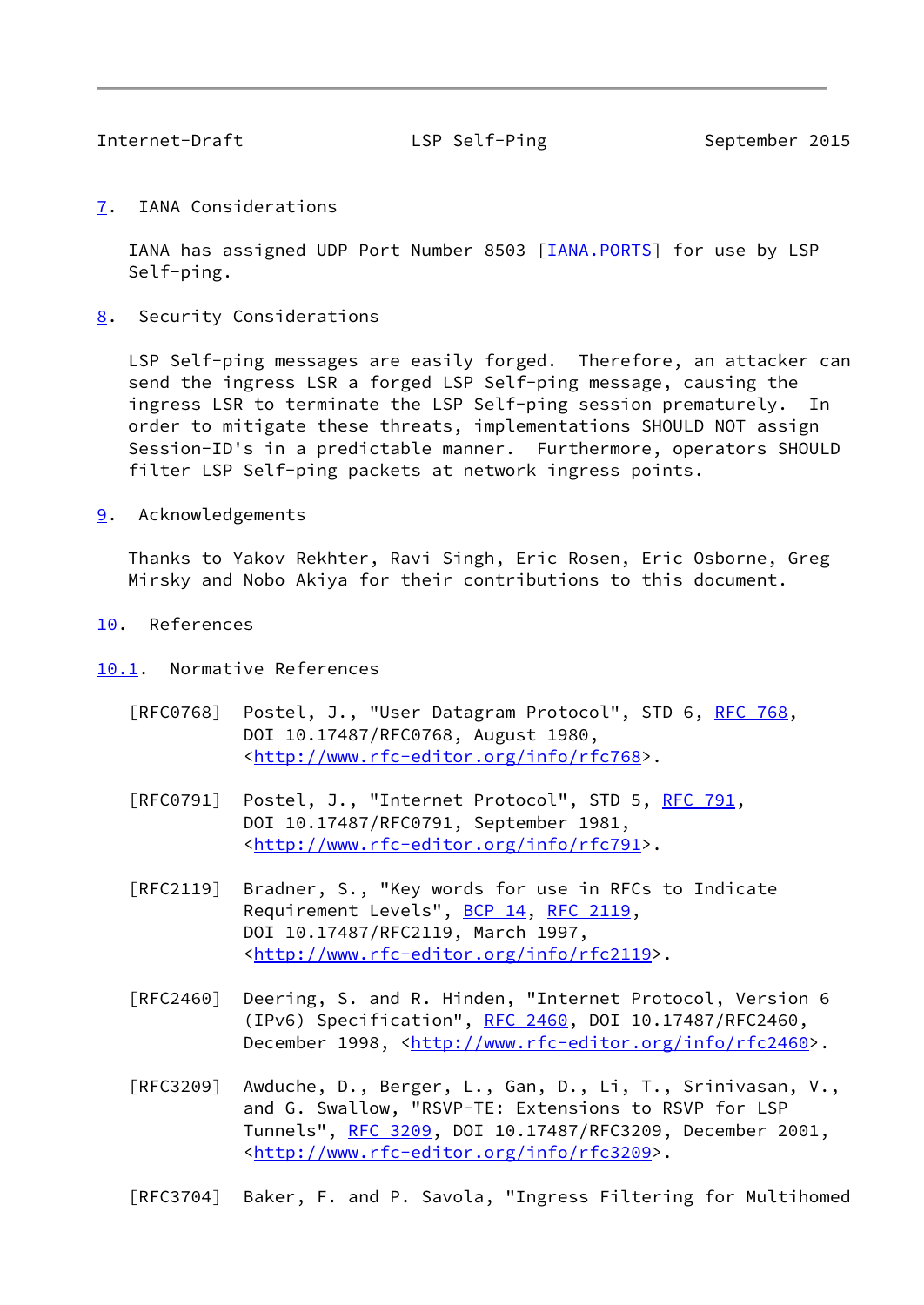<span id="page-9-1"></span>

Internet-Draft LSP Self-Ping September 2015

<span id="page-9-0"></span>[7](#page-9-0). IANA Considerations

 IANA has assigned UDP Port Number 8503 [\[IANA.PORTS](#page-10-3)] for use by LSP Self-ping.

<span id="page-9-2"></span>[8](#page-9-2). Security Considerations

 LSP Self-ping messages are easily forged. Therefore, an attacker can send the ingress LSR a forged LSP Self-ping message, causing the ingress LSR to terminate the LSP Self-ping session prematurely. In order to mitigate these threats, implementations SHOULD NOT assign Session-ID's in a predictable manner. Furthermore, operators SHOULD filter LSP Self-ping packets at network ingress points.

<span id="page-9-3"></span>[9](#page-9-3). Acknowledgements

 Thanks to Yakov Rekhter, Ravi Singh, Eric Rosen, Eric Osborne, Greg Mirsky and Nobo Akiya for their contributions to this document.

- <span id="page-9-4"></span>[10.](#page-9-4) References
- <span id="page-9-5"></span>[10.1](#page-9-5). Normative References
	- [RFC0768] Postel, J., "User Datagram Protocol", STD 6, [RFC 768](https://datatracker.ietf.org/doc/pdf/rfc768), DOI 10.17487/RFC0768, August 1980, <[http://www.rfc-editor.org/info/rfc768>](http://www.rfc-editor.org/info/rfc768).
	- [RFC0791] Postel, J., "Internet Protocol", STD 5, [RFC 791](https://datatracker.ietf.org/doc/pdf/rfc791), DOI 10.17487/RFC0791, September 1981, <[http://www.rfc-editor.org/info/rfc791>](http://www.rfc-editor.org/info/rfc791).
	- [RFC2119] Bradner, S., "Key words for use in RFCs to Indicate Requirement Levels", [BCP 14](https://datatracker.ietf.org/doc/pdf/bcp14), [RFC 2119](https://datatracker.ietf.org/doc/pdf/rfc2119), DOI 10.17487/RFC2119, March 1997, <<http://www.rfc-editor.org/info/rfc2119>>.
	- [RFC2460] Deering, S. and R. Hinden, "Internet Protocol, Version 6 (IPv6) Specification", [RFC 2460](https://datatracker.ietf.org/doc/pdf/rfc2460), DOI 10.17487/RFC2460, December 1998, <<http://www.rfc-editor.org/info/rfc2460>>.
	- [RFC3209] Awduche, D., Berger, L., Gan, D., Li, T., Srinivasan, V., and G. Swallow, "RSVP-TE: Extensions to RSVP for LSP Tunnels", [RFC 3209](https://datatracker.ietf.org/doc/pdf/rfc3209), DOI 10.17487/RFC3209, December 2001, <<http://www.rfc-editor.org/info/rfc3209>>.
	- [RFC3704] Baker, F. and P. Savola, "Ingress Filtering for Multihomed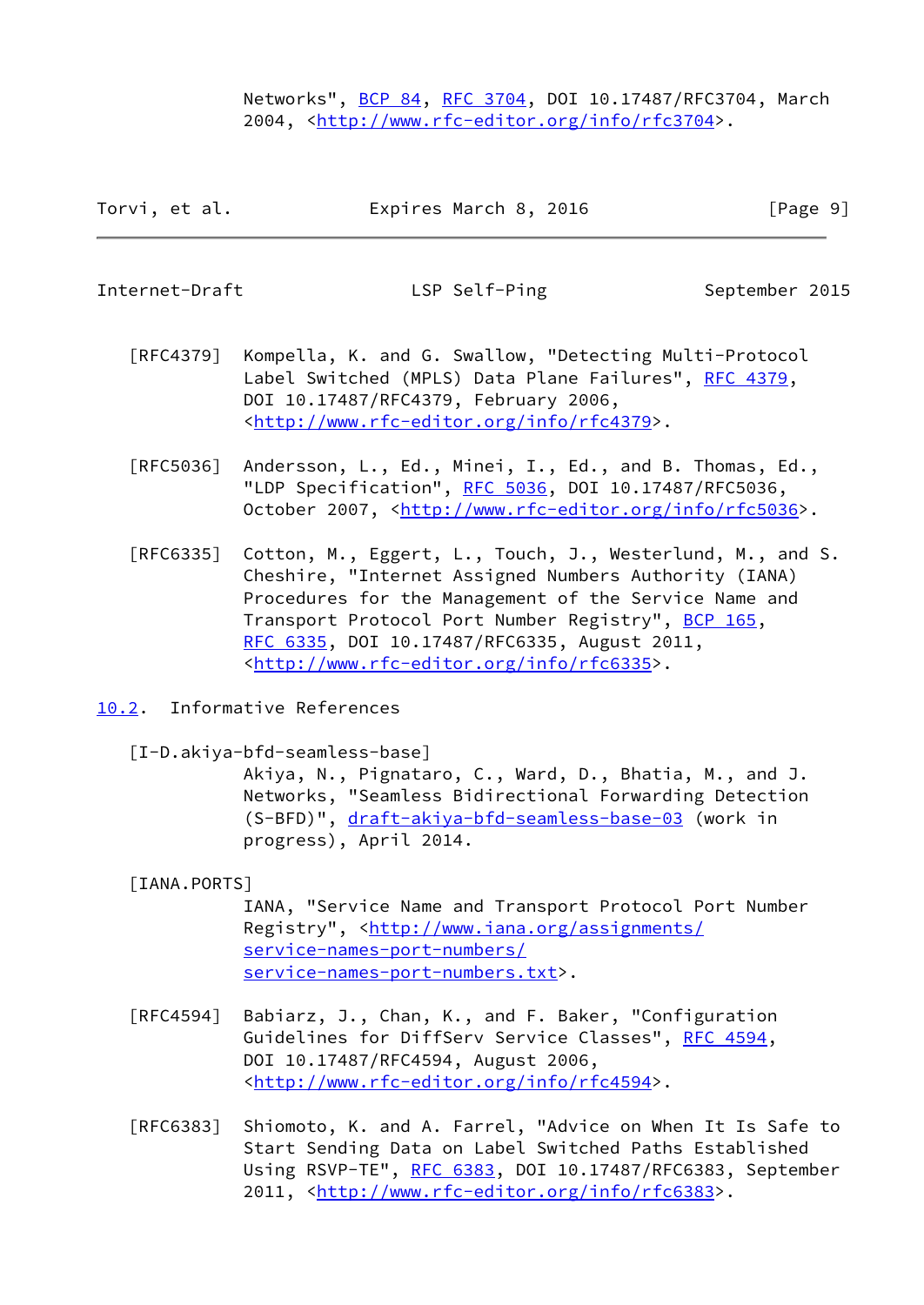Networks", [BCP 84](https://datatracker.ietf.org/doc/pdf/bcp84), [RFC 3704](https://datatracker.ietf.org/doc/pdf/rfc3704), DOI 10.17487/RFC3704, March 2004, [<http://www.rfc-editor.org/info/rfc3704](http://www.rfc-editor.org/info/rfc3704)>.

| Expires March 8, 2016<br>Torvi, et al. | [Page 9] |
|----------------------------------------|----------|
|----------------------------------------|----------|

<span id="page-10-1"></span>Internet-Draft The LSP Self-Ping September 2015

- [RFC4379] Kompella, K. and G. Swallow, "Detecting Multi-Protocol Label Switched (MPLS) Data Plane Failures", [RFC 4379,](https://datatracker.ietf.org/doc/pdf/rfc4379) DOI 10.17487/RFC4379, February 2006, <<http://www.rfc-editor.org/info/rfc4379>>.
- [RFC5036] Andersson, L., Ed., Minei, I., Ed., and B. Thomas, Ed., "LDP Specification", [RFC 5036](https://datatracker.ietf.org/doc/pdf/rfc5036), DOI 10.17487/RFC5036, October 2007, [<http://www.rfc-editor.org/info/rfc5036](http://www.rfc-editor.org/info/rfc5036)>.
- [RFC6335] Cotton, M., Eggert, L., Touch, J., Westerlund, M., and S. Cheshire, "Internet Assigned Numbers Authority (IANA) Procedures for the Management of the Service Name and Transport Protocol Port Number Registry", [BCP 165](https://datatracker.ietf.org/doc/pdf/bcp165), [RFC 6335,](https://datatracker.ietf.org/doc/pdf/rfc6335) DOI 10.17487/RFC6335, August 2011, <<http://www.rfc-editor.org/info/rfc6335>>.
- <span id="page-10-0"></span>[10.2](#page-10-0). Informative References

<span id="page-10-2"></span>[I-D.akiya-bfd-seamless-base]

 Akiya, N., Pignataro, C., Ward, D., Bhatia, M., and J. Networks, "Seamless Bidirectional Forwarding Detection (S-BFD)", [draft-akiya-bfd-seamless-base-03](https://datatracker.ietf.org/doc/pdf/draft-akiya-bfd-seamless-base-03) (work in progress), April 2014.

## <span id="page-10-3"></span>[IANA.PORTS]

 IANA, "Service Name and Transport Protocol Port Number Registry", <[http://www.iana.org/assignments/](http://www.iana.org/assignments/service-names-port-numbers/service-names-port-numbers.txt) [service-names-port-numbers/](http://www.iana.org/assignments/service-names-port-numbers/service-names-port-numbers.txt) [service-names-port-numbers.txt](http://www.iana.org/assignments/service-names-port-numbers/service-names-port-numbers.txt)>.

- [RFC4594] Babiarz, J., Chan, K., and F. Baker, "Configuration Guidelines for DiffServ Service Classes", [RFC 4594](https://datatracker.ietf.org/doc/pdf/rfc4594), DOI 10.17487/RFC4594, August 2006, <<http://www.rfc-editor.org/info/rfc4594>>.
- [RFC6383] Shiomoto, K. and A. Farrel, "Advice on When It Is Safe to Start Sending Data on Label Switched Paths Established Using RSVP-TE", [RFC 6383,](https://datatracker.ietf.org/doc/pdf/rfc6383) DOI 10.17487/RFC6383, September 2011, [<http://www.rfc-editor.org/info/rfc6383](http://www.rfc-editor.org/info/rfc6383)>.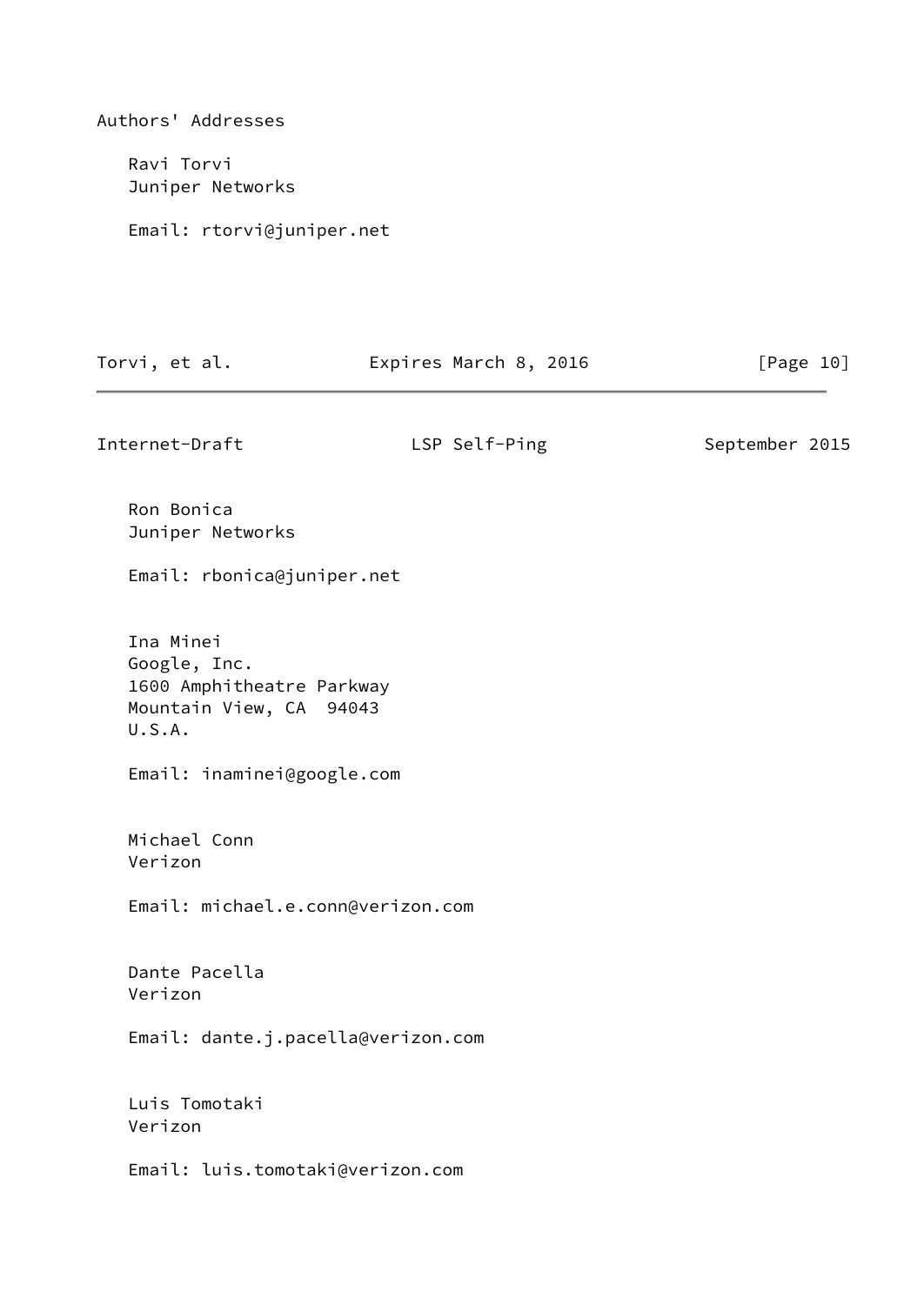Authors' Addresses Ravi Torvi Juniper Networks Email: rtorvi@juniper.net Torvi, et al. **Expires March 8, 2016** [Page 10] Internet-Draft LSP Self-Ping September 2015 Ron Bonica Juniper Networks Email: rbonica@juniper.net Ina Minei Google, Inc. 1600 Amphitheatre Parkway Mountain View, CA 94043 U.S.A. Email: inaminei@google.com Michael Conn Verizon Email: michael.e.conn@verizon.com Dante Pacella Verizon Email: dante.j.pacella@verizon.com Luis Tomotaki Verizon Email: luis.tomotaki@verizon.com